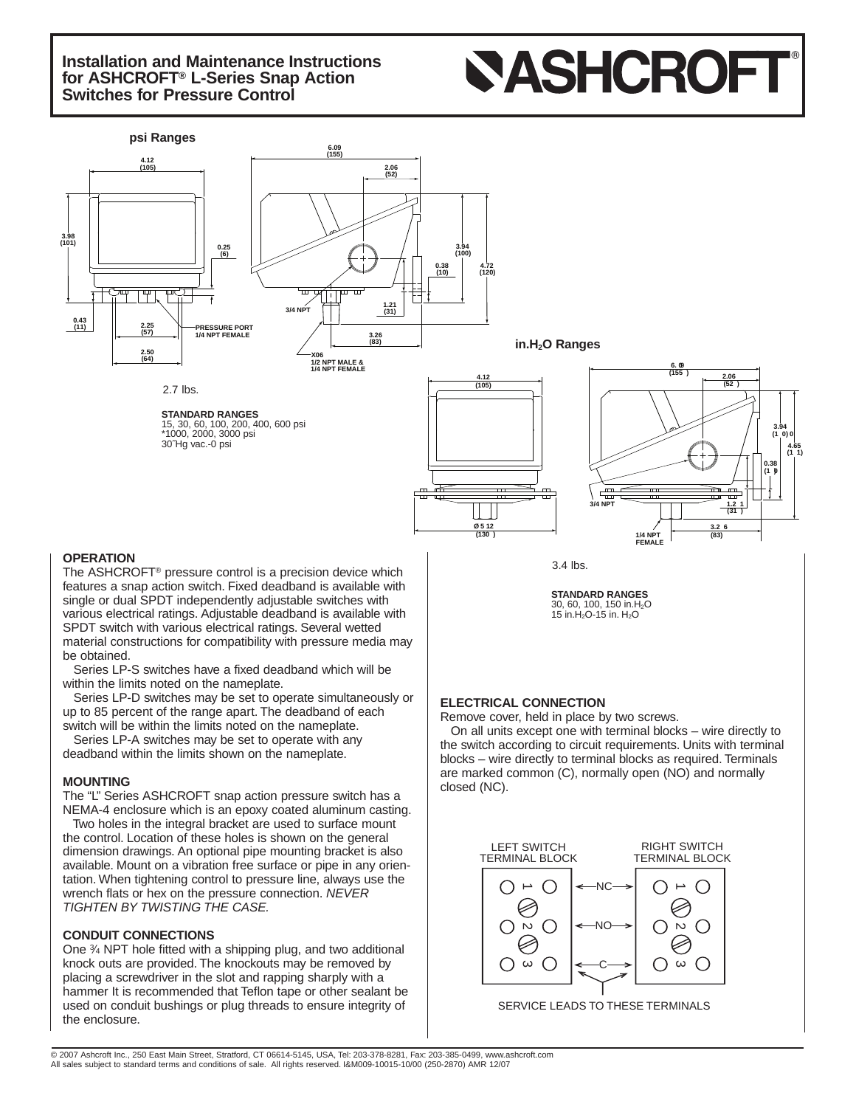# **Installation and Maintenance Instructions for ASHCROFT® L-Series Snap Action Switches for Pressure Control**





### **OPERATION**

The ASHCROFT® pressure control is a precision device which features a snap action switch. Fixed deadband is available with single or dual SPDT independently adjustable switches with various electrical ratings. Adjustable deadband is available with SPDT switch with various electrical ratings. Several wetted material constructions for compatibility with pressure media may be obtained.

Series LP-S switches have a fixed deadband which will be within the limits noted on the nameplate.

Series LP-D switches may be set to operate simultaneously or up to 85 percent of the range apart. The deadband of each switch will be within the limits noted on the nameplate.

Series LP-A switches may be set to operate with any deadband within the limits shown on the nameplate.

#### **MOUNTING**

The "L" Series ASHCROFT snap action pressure switch has a NEMA-4 enclosure which is an epoxy coated aluminum casting.

Two holes in the integral bracket are used to surface mount the control. Location of these holes is shown on the general dimension drawings. An optional pipe mounting bracket is also available. Mount on a vibration free surface or pipe in any orientation. When tightening control to pressure line, always use the wrench flats or hex on the pressure connection. NEVER TIGHTEN BY TWISTING THE CASE.

### **CONDUIT CONNECTIONS**

One 3⁄4 NPT hole fitted with a shipping plug, and two additional knock outs are provided. The knockouts may be removed by placing a screwdriver in the slot and rapping sharply with a hammer It is recommended that Teflon tape or other sealant be used on conduit bushings or plug threads to ensure integrity of the enclosure.

3.4 lbs.

**STANDARD RANGES** 30, 60, 100, 150 in.H<sub>2</sub>O<br>15 in.H<sub>2</sub>O-15 in. H<sub>2</sub>O

## **ELECTRICAL CONNECTION**

Remove cover, held in place by two screws.

On all units except one with terminal blocks – wire directly to the switch according to circuit requirements. Units with terminal blocks – wire directly to terminal blocks as required. Terminals are marked common (C), normally open (NO) and normally closed (NC).



SERVICE LEADS TO THESE TERMINALS

© 2007 Ashcroft Inc., 250 East Main Street, Stratford, CT 06614-5145, USA, Tel: 203-378-8281, Fax: 203-385-0499, www.ashcroft.com All sales subject to standard terms and conditions of sale. All rights reserved. I&M009-10015-10/00 (250-2870) AMR 12/07